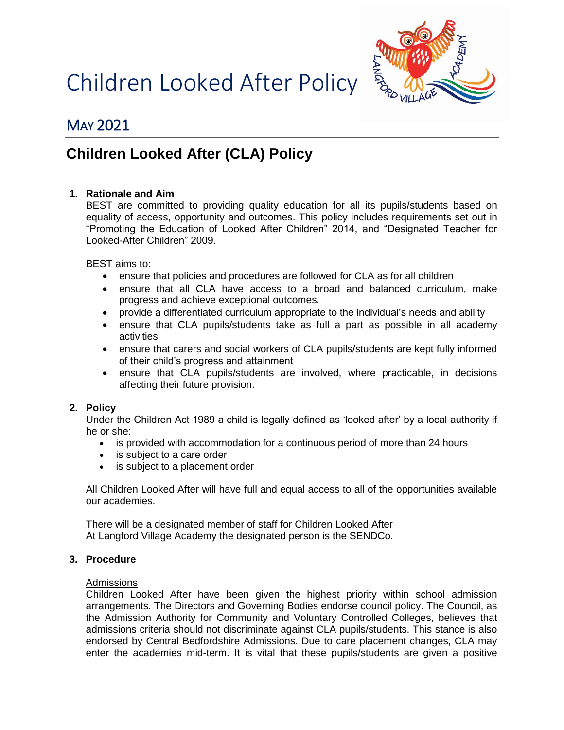Children Looked After Policy



# MAY 2021

# **Children Looked After (CLA) Policy**

# **1. Rationale and Aim**

BEST are committed to providing quality education for all its pupils/students based on equality of access, opportunity and outcomes. This policy includes requirements set out in "Promoting the Education of Looked After Children" 2014, and "Designated Teacher for Looked-After Children" 2009.

BEST aims to:

- ensure that policies and procedures are followed for CLA as for all children
- ensure that all CLA have access to a broad and balanced curriculum, make progress and achieve exceptional outcomes.
- provide a differentiated curriculum appropriate to the individual's needs and ability
- ensure that CLA pupils/students take as full a part as possible in all academy activities
- ensure that carers and social workers of CLA pupils/students are kept fully informed of their child's progress and attainment
- ensure that CLA pupils/students are involved, where practicable, in decisions affecting their future provision.

## **2. Policy**

Under the Children Act 1989 a child is legally defined as 'looked after' by a local authority if he or she:

- is provided with accommodation for a continuous period of more than 24 hours
- is subject to a care order
- is subject to a placement order

All Children Looked After will have full and equal access to all of the opportunities available our academies.

There will be a designated member of staff for Children Looked After At Langford Village Academy the designated person is the SENDCo.

## **3. Procedure**

## Admissions

Children Looked After have been given the highest priority within school admission arrangements. The Directors and Governing Bodies endorse council policy. The Council, as the Admission Authority for Community and Voluntary Controlled Colleges, believes that admissions criteria should not discriminate against CLA pupils/students. This stance is also endorsed by Central Bedfordshire Admissions. Due to care placement changes, CLA may enter the academies mid-term. It is vital that these pupils/students are given a positive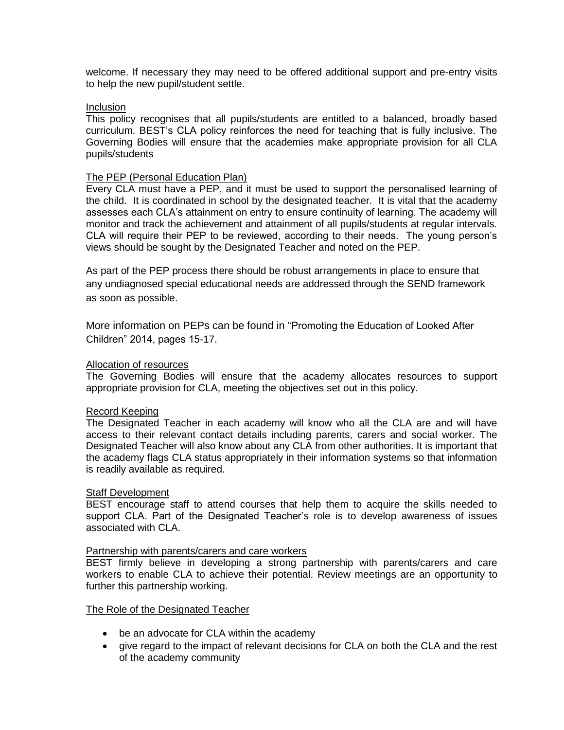welcome. If necessary they may need to be offered additional support and pre-entry visits to help the new pupil/student settle.

## Inclusion

This policy recognises that all pupils/students are entitled to a balanced, broadly based curriculum. BEST's CLA policy reinforces the need for teaching that is fully inclusive. The Governing Bodies will ensure that the academies make appropriate provision for all CLA pupils/students

#### The PEP (Personal Education Plan)

Every CLA must have a PEP, and it must be used to support the personalised learning of the child. It is coordinated in school by the designated teacher. It is vital that the academy assesses each CLA's attainment on entry to ensure continuity of learning. The academy will monitor and track the achievement and attainment of all pupils/students at regular intervals. CLA will require their PEP to be reviewed, according to their needs. The young person's views should be sought by the Designated Teacher and noted on the PEP.

As part of the PEP process there should be robust arrangements in place to ensure that any undiagnosed special educational needs are addressed through the SEND framework as soon as possible.

More information on PEPs can be found in "Promoting the Education of Looked After Children" 2014, pages 15-17.

#### Allocation of resources

The Governing Bodies will ensure that the academy allocates resources to support appropriate provision for CLA, meeting the objectives set out in this policy.

## Record Keeping

The Designated Teacher in each academy will know who all the CLA are and will have access to their relevant contact details including parents, carers and social worker. The Designated Teacher will also know about any CLA from other authorities. It is important that the academy flags CLA status appropriately in their information systems so that information is readily available as required.

### Staff Development

BEST encourage staff to attend courses that help them to acquire the skills needed to support CLA. Part of the Designated Teacher's role is to develop awareness of issues associated with CLA.

#### Partnership with parents/carers and care workers

BEST firmly believe in developing a strong partnership with parents/carers and care workers to enable CLA to achieve their potential. Review meetings are an opportunity to further this partnership working.

#### The Role of the Designated Teacher

- be an advocate for CLA within the academy
- give regard to the impact of relevant decisions for CLA on both the CLA and the rest of the academy community